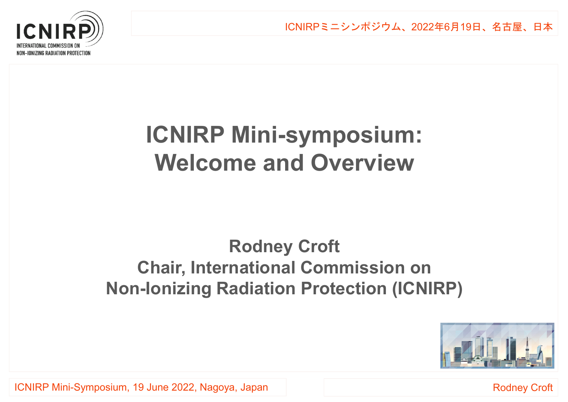

# **ICNIRP Mini-symposium:Welcome and Overview**

### **Rodney Croft Chair, International Commission onNon-Ionizing Radiation Protection (ICNIRP)**



ICNIRP Mini-Symposium, 19 June 2022, Nagoya, Japan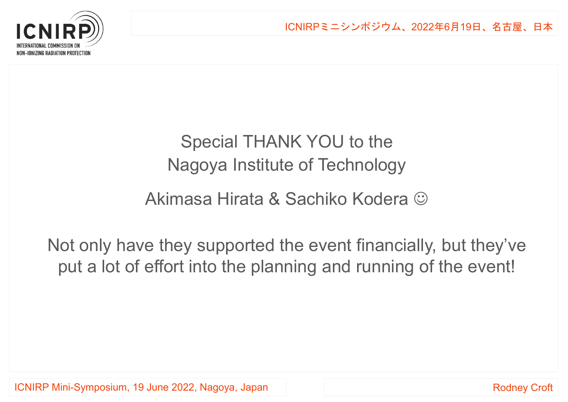

## Special THANK YOU to theNagoya Institute of Technology

#### Akimasa Hirata & Sachiko Kodera

Not only have they supported the event financially, but they've put a lot of effort into the planning and running of the event!

ICNIRP Mini-Symposium, 19 June 2022, Nagoya, Japan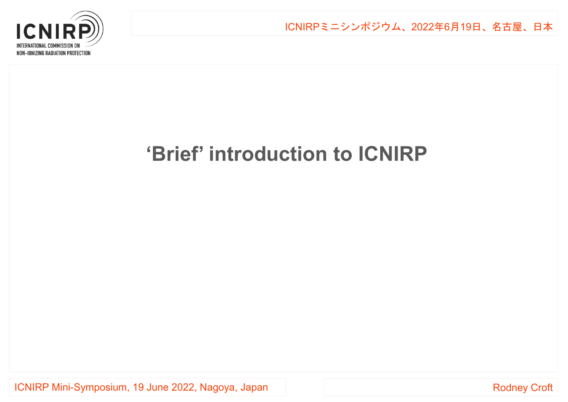

## **'Brief' introduction to ICNIRP**

ICNIRP Mini-Symposium, 19 June 2022, Nagoya, Japan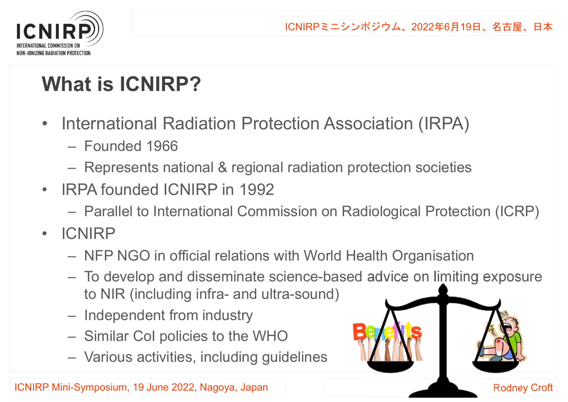Rodney Croft



# **What is ICNIRP?**

- $\bullet$  International Radiation Protection Association (IRPA)
	- Founded 1966
	- Represents national & regional radiation protection societies
- • IRPA founded ICNIRP in 1992
	- Parallel to International Commission on Radiological Protection (ICRP)
- $\bullet$  ICNIRP
	- NFP NGO in official relations with World Health Organisation
	- To develop and disseminate science-based advice on limiting exposure to NIR (including infra- and ultra-sound)
	- Independent from industry
	- Similar CoI policies to the WHO
	- Various activities, including qu Various activities, including guidelines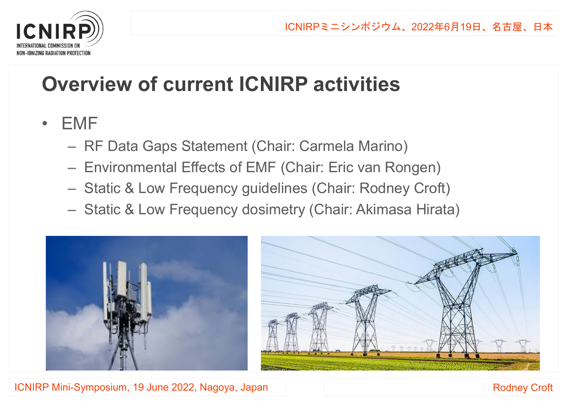

## **Overview of current ICNIRP activities**

- • EMF
	- RF Data Gaps Statement (Chair: Carmela Marino)
	- Environmental Effects of EMF (Chair: Eric van Rongen)
	- Static & Low Frequency guidelines (Chair: Rodney Croft)
	- Static & Low Frequency dosimetry (Chair: Akimasa Hirata)





ICNIRP Mini-Symposium, 19 June 2022, Nagoya, Japan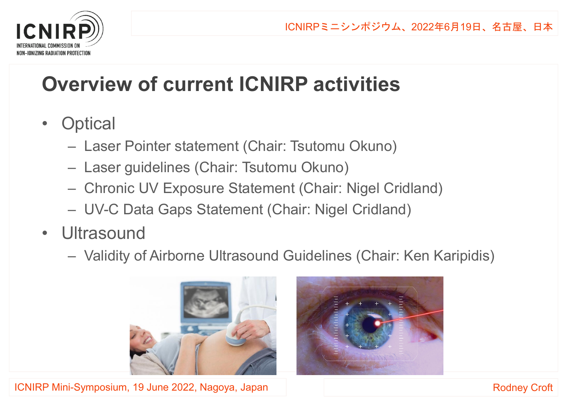

# **Overview of current ICNIRP activities**

- $\bullet$ **Optical** 
	- Laser Pointer statement (Chair: Tsutomu Okuno)
	- Laser guidelines (Chair: Tsutomu Okuno)
	- Chronic UV Exposure Statement (Chair: Nigel Cridland)
	- UV-C Data Gaps Statement (Chair: Nigel Cridland)
- Ultrasound<br>、、
	- Validity of Airborne Ultrasound Guidelines (Chair: Ken Karipidis)





ICNIRP Mini-Symposium, 19 June 2022, Nagoya, Japan